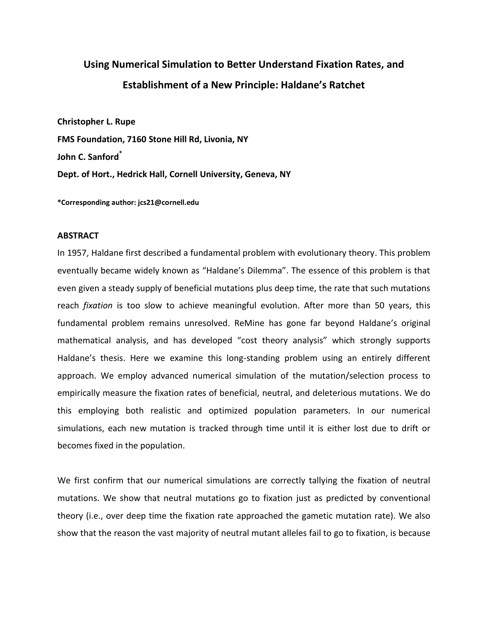# **Using Numerical Simulation to Better Understand Fixation Rates, and Establishment of a New Principle: Haldane's Ratchet**

**Christopher L. Rupe FMS Foundation, 7160 Stone Hill Rd, Livonia, NY John C. Sanford\* Dept. of Hort., Hedrick Hall, Cornell University, Geneva, NY**

**\*Corresponding author: jcs21@cornell.edu**

### **ABSTRACT**

In 1957, Haldane first described a fundamental problem with evolutionary theory. This problem eventually became widely known as "Haldane's Dilemma". The essence of this problem is that even given a steady supply of beneficial mutations plus deep time, the rate that such mutations reach *fixation* is too slow to achieve meaningful evolution. After more than 50 years, this fundamental problem remains unresolved. ReMine has gone far beyond Haldane's original mathematical analysis, and has developed "cost theory analysis" which strongly supports Haldane's thesis. Here we examine this long-standing problem using an entirely different approach. We employ advanced numerical simulation of the mutation/selection process to empirically measure the fixation rates of beneficial, neutral, and deleterious mutations. We do this employing both realistic and optimized population parameters. In our numerical simulations, each new mutation is tracked through time until it is either lost due to drift or becomes fixed in the population.

We first confirm that our numerical simulations are correctly tallying the fixation of neutral mutations. We show that neutral mutations go to fixation just as predicted by conventional theory (i.e., over deep time the fixation rate approached the gametic mutation rate). We also show that the reason the vast majority of neutral mutant alleles fail to go to fixation, is because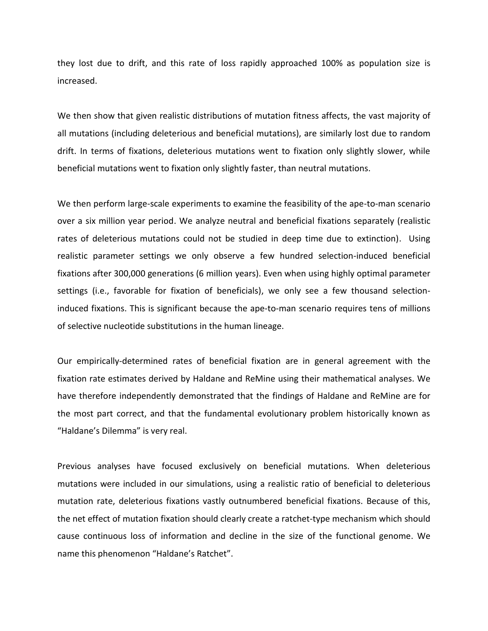they lost due to drift, and this rate of loss rapidly approached 100% as population size is increased.

We then show that given realistic distributions of mutation fitness affects, the vast majority of all mutations (including deleterious and beneficial mutations), are similarly lost due to random drift. In terms of fixations, deleterious mutations went to fixation only slightly slower, while beneficial mutations went to fixation only slightly faster, than neutral mutations.

We then perform large-scale experiments to examine the feasibility of the ape-to-man scenario over a six million year period. We analyze neutral and beneficial fixations separately (realistic rates of deleterious mutations could not be studied in deep time due to extinction). Using realistic parameter settings we only observe a few hundred selection-induced beneficial fixations after 300,000 generations (6 million years). Even when using highly optimal parameter settings (i.e., favorable for fixation of beneficials), we only see a few thousand selectioninduced fixations. This is significant because the ape-to-man scenario requires tens of millions of selective nucleotide substitutions in the human lineage.

Our empirically-determined rates of beneficial fixation are in general agreement with the fixation rate estimates derived by Haldane and ReMine using their mathematical analyses. We have therefore independently demonstrated that the findings of Haldane and ReMine are for the most part correct, and that the fundamental evolutionary problem historically known as "Haldane's Dilemma" is very real.

Previous analyses have focused exclusively on beneficial mutations. When deleterious mutations were included in our simulations, using a realistic ratio of beneficial to deleterious mutation rate, deleterious fixations vastly outnumbered beneficial fixations. Because of this, the net effect of mutation fixation should clearly create a ratchet-type mechanism which should cause continuous loss of information and decline in the size of the functional genome. We name this phenomenon "Haldane's Ratchet".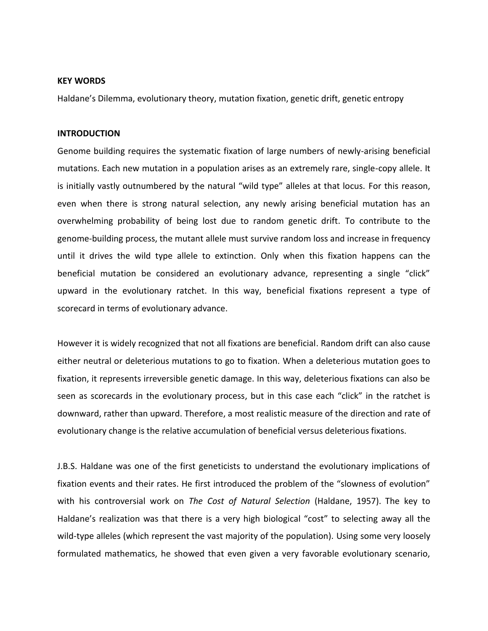## **KEY WORDS**

Haldane's Dilemma, evolutionary theory, mutation fixation, genetic drift, genetic entropy

## **INTRODUCTION**

Genome building requires the systematic fixation of large numbers of newly-arising beneficial mutations. Each new mutation in a population arises as an extremely rare, single-copy allele. It is initially vastly outnumbered by the natural "wild type" alleles at that locus. For this reason, even when there is strong natural selection, any newly arising beneficial mutation has an overwhelming probability of being lost due to random genetic drift. To contribute to the genome-building process, the mutant allele must survive random loss and increase in frequency until it drives the wild type allele to extinction. Only when this fixation happens can the beneficial mutation be considered an evolutionary advance, representing a single "click" upward in the evolutionary ratchet. In this way, beneficial fixations represent a type of scorecard in terms of evolutionary advance.

However it is widely recognized that not all fixations are beneficial. Random drift can also cause either neutral or deleterious mutations to go to fixation. When a deleterious mutation goes to fixation, it represents irreversible genetic damage. In this way, deleterious fixations can also be seen as scorecards in the evolutionary process, but in this case each "click" in the ratchet is downward, rather than upward. Therefore, a most realistic measure of the direction and rate of evolutionary change is the relative accumulation of beneficial versus deleterious fixations.

J.B.S. Haldane was one of the first geneticists to understand the evolutionary implications of fixation events and their rates. He first introduced the problem of the "slowness of evolution" with his controversial work on *The Cost of Natural Selection* (Haldane, 1957). The key to Haldane's realization was that there is a very high biological "cost" to selecting away all the wild-type alleles (which represent the vast majority of the population). Using some very loosely formulated mathematics, he showed that even given a very favorable evolutionary scenario,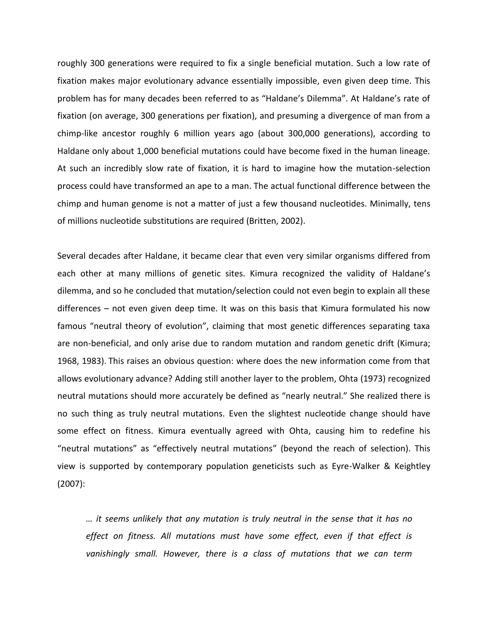roughly 300 generations were required to fix a single beneficial mutation. Such a low rate of fixation makes major evolutionary advance essentially impossible, even given deep time. This problem has for many decades been referred to as "Haldane's Dilemma". At Haldane's rate of fixation (on average, 300 generations per fixation), and presuming a divergence of man from a chimp-like ancestor roughly 6 million years ago (about 300,000 generations), according to Haldane only about 1,000 beneficial mutations could have become fixed in the human lineage. At such an incredibly slow rate of fixation, it is hard to imagine how the mutation-selection process could have transformed an ape to a man. The actual functional difference between the chimp and human genome is not a matter of just a few thousand nucleotides. Minimally, tens of millions nucleotide substitutions are required (Britten, 2002).

Several decades after Haldane, it became clear that even very similar organisms differed from each other at many millions of genetic sites. Kimura recognized the validity of Haldane's dilemma, and so he concluded that mutation/selection could not even begin to explain all these differences – not even given deep time. It was on this basis that Kimura formulated his now famous "neutral theory of evolution", claiming that most genetic differences separating taxa are non-beneficial, and only arise due to random mutation and random genetic drift (Kimura; 1968, 1983). This raises an obvious question: where does the new information come from that allows evolutionary advance? Adding still another layer to the problem, Ohta (1973) recognized neutral mutations should more accurately be defined as "nearly neutral." She realized there is no such thing as truly neutral mutations. Even the slightest nucleotide change should have some effect on fitness. Kimura eventually agreed with Ohta, causing him to redefine his "neutral mutations" as "effectively neutral mutations" (beyond the reach of selection). This view is supported by contemporary population geneticists such as Eyre-Walker & Keightley (2007):

*… it seems unlikely that any mutation is truly neutral in the sense that it has no effect on fitness. All mutations must have some effect, even if that effect is vanishingly small. However, there is a class of mutations that we can term*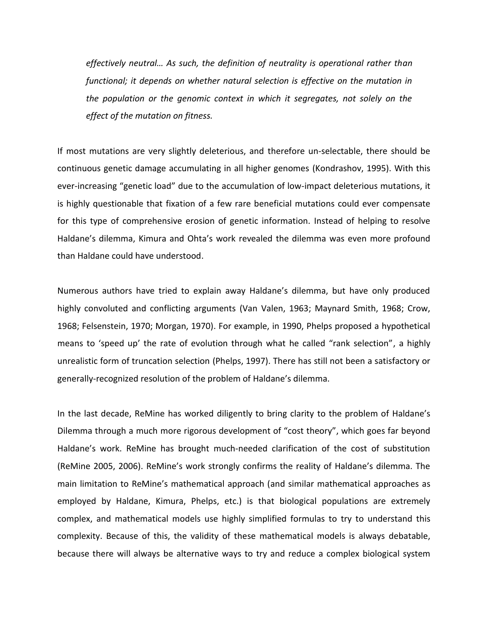*effectively neutral… As such, the definition of neutrality is operational rather than functional; it depends on whether natural selection is effective on the mutation in the population or the genomic context in which it segregates, not solely on the effect of the mutation on fitness.*

If most mutations are very slightly deleterious, and therefore un-selectable, there should be continuous genetic damage accumulating in all higher genomes (Kondrashov, 1995). With this ever-increasing "genetic load" due to the accumulation of low-impact deleterious mutations, it is highly questionable that fixation of a few rare beneficial mutations could ever compensate for this type of comprehensive erosion of genetic information. Instead of helping to resolve Haldane's dilemma, Kimura and Ohta's work revealed the dilemma was even more profound than Haldane could have understood.

Numerous authors have tried to explain away Haldane's dilemma, but have only produced highly convoluted and conflicting arguments (Van Valen, 1963; Maynard Smith, 1968; Crow, 1968; Felsenstein, 1970; Morgan, 1970). For example, in 1990, Phelps proposed a hypothetical means to 'speed up' the rate of evolution through what he called "rank selection", a highly unrealistic form of truncation selection (Phelps, 1997). There has still not been a satisfactory or generally-recognized resolution of the problem of Haldane's dilemma.

In the last decade, ReMine has worked diligently to bring clarity to the problem of Haldane's Dilemma through a much more rigorous development of "cost theory", which goes far beyond Haldane's work. ReMine has brought much-needed clarification of the cost of substitution (ReMine 2005, 2006). ReMine's work strongly confirms the reality of Haldane's dilemma. The main limitation to ReMine's mathematical approach (and similar mathematical approaches as employed by Haldane, Kimura, Phelps, etc.) is that biological populations are extremely complex, and mathematical models use highly simplified formulas to try to understand this complexity. Because of this, the validity of these mathematical models is always debatable, because there will always be alternative ways to try and reduce a complex biological system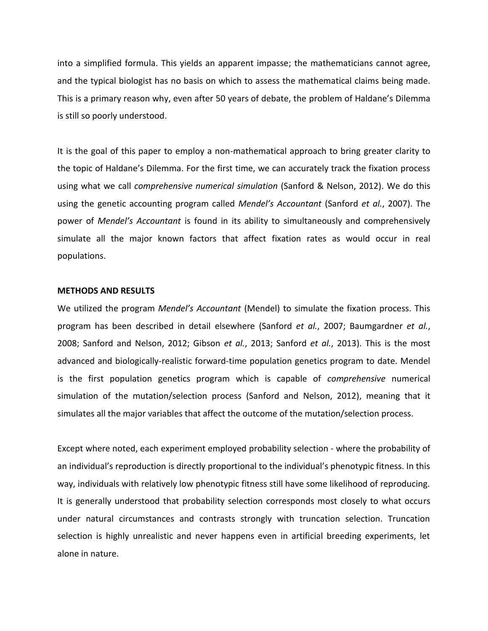into a simplified formula. This yields an apparent impasse; the mathematicians cannot agree, and the typical biologist has no basis on which to assess the mathematical claims being made. This is a primary reason why, even after 50 years of debate, the problem of Haldane's Dilemma is still so poorly understood.

It is the goal of this paper to employ a non-mathematical approach to bring greater clarity to the topic of Haldane's Dilemma. For the first time, we can accurately track the fixation process using what we call *comprehensive numerical simulation* (Sanford & Nelson, 2012). We do this using the genetic accounting program called *Mendel's Accountant* (Sanford *et al.*, 2007). The power of *Mendel's Accountant* is found in its ability to simultaneously and comprehensively simulate all the major known factors that affect fixation rates as would occur in real populations.

# **METHODS AND RESULTS**

We utilized the program *Mendel's Accountant* (Mendel) to simulate the fixation process. This program has been described in detail elsewhere (Sanford *et al.*, 2007; Baumgardner *et al.*, 2008; Sanford and Nelson, 2012; Gibson *et al.*, 2013; Sanford *et al.*, 2013). This is the most advanced and biologically-realistic forward-time population genetics program to date. Mendel is the first population genetics program which is capable of *comprehensive* numerical simulation of the mutation/selection process (Sanford and Nelson, 2012), meaning that it simulates all the major variables that affect the outcome of the mutation/selection process.

Except where noted, each experiment employed probability selection - where the probability of an individual's reproduction is directly proportional to the individual's phenotypic fitness. In this way, individuals with relatively low phenotypic fitness still have some likelihood of reproducing. It is generally understood that probability selection corresponds most closely to what occurs under natural circumstances and contrasts strongly with truncation selection. Truncation selection is highly unrealistic and never happens even in artificial breeding experiments, let alone in nature.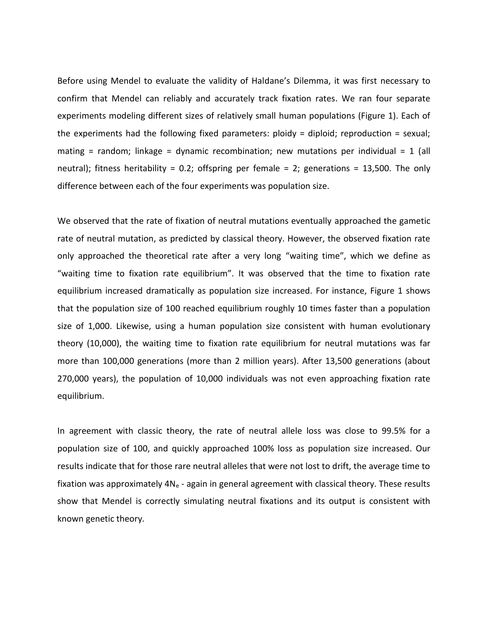Before using Mendel to evaluate the validity of Haldane's Dilemma, it was first necessary to confirm that Mendel can reliably and accurately track fixation rates. We ran four separate experiments modeling different sizes of relatively small human populations (Figure 1). Each of the experiments had the following fixed parameters: ploidy = diploid; reproduction = sexual; mating = random; linkage = dynamic recombination; new mutations per individual = 1 (all neutral); fitness heritability = 0.2; offspring per female = 2; generations = 13,500. The only difference between each of the four experiments was population size.

We observed that the rate of fixation of neutral mutations eventually approached the gametic rate of neutral mutation, as predicted by classical theory. However, the observed fixation rate only approached the theoretical rate after a very long "waiting time", which we define as "waiting time to fixation rate equilibrium". It was observed that the time to fixation rate equilibrium increased dramatically as population size increased. For instance, Figure 1 shows that the population size of 100 reached equilibrium roughly 10 times faster than a population size of 1,000. Likewise, using a human population size consistent with human evolutionary theory (10,000), the waiting time to fixation rate equilibrium for neutral mutations was far more than 100,000 generations (more than 2 million years). After 13,500 generations (about 270,000 years), the population of 10,000 individuals was not even approaching fixation rate equilibrium.

In agreement with classic theory, the rate of neutral allele loss was close to 99.5% for a population size of 100, and quickly approached 100% loss as population size increased. Our results indicate that for those rare neutral alleles that were not lost to drift, the average time to fixation was approximately  $4N_e$  - again in general agreement with classical theory. These results show that Mendel is correctly simulating neutral fixations and its output is consistent with known genetic theory.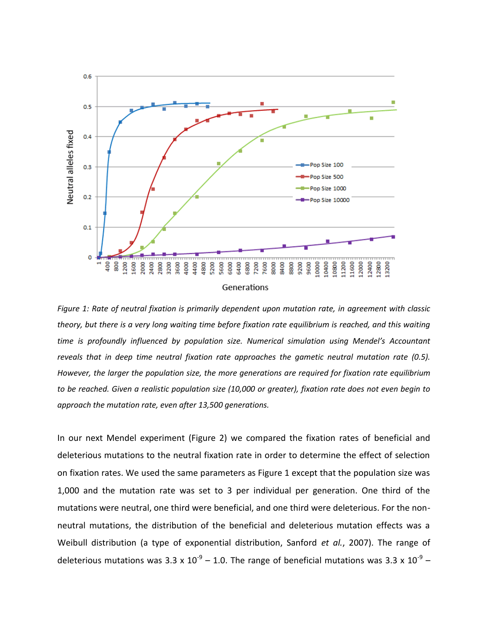

*Figure 1: Rate of neutral fixation is primarily dependent upon mutation rate, in agreement with classic theory, but there is a very long waiting time before fixation rate equilibrium is reached, and this waiting time is profoundly influenced by population size. Numerical simulation using Mendel's Accountant reveals that in deep time neutral fixation rate approaches the gametic neutral mutation rate (0.5). However, the larger the population size, the more generations are required for fixation rate equilibrium to be reached. Given a realistic population size (10,000 or greater), fixation rate does not even begin to approach the mutation rate, even after 13,500 generations.*

In our next Mendel experiment (Figure 2) we compared the fixation rates of beneficial and deleterious mutations to the neutral fixation rate in order to determine the effect of selection on fixation rates. We used the same parameters as Figure 1 except that the population size was 1,000 and the mutation rate was set to 3 per individual per generation. One third of the mutations were neutral, one third were beneficial, and one third were deleterious. For the nonneutral mutations, the distribution of the beneficial and deleterious mutation effects was a Weibull distribution (a type of exponential distribution, Sanford *et al.*, 2007). The range of deleterious mutations was 3.3 x  $10^{-9}$  – 1.0. The range of beneficial mutations was 3.3 x  $10^{-9}$  –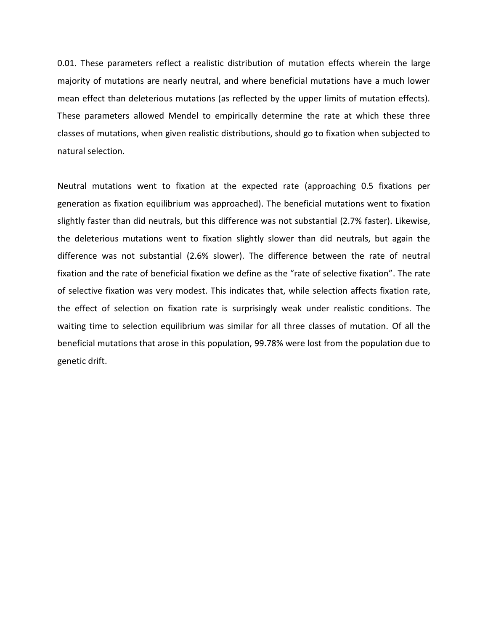0.01. These parameters reflect a realistic distribution of mutation effects wherein the large majority of mutations are nearly neutral, and where beneficial mutations have a much lower mean effect than deleterious mutations (as reflected by the upper limits of mutation effects). These parameters allowed Mendel to empirically determine the rate at which these three classes of mutations, when given realistic distributions, should go to fixation when subjected to natural selection.

Neutral mutations went to fixation at the expected rate (approaching 0.5 fixations per generation as fixation equilibrium was approached). The beneficial mutations went to fixation slightly faster than did neutrals, but this difference was not substantial (2.7% faster). Likewise, the deleterious mutations went to fixation slightly slower than did neutrals, but again the difference was not substantial (2.6% slower). The difference between the rate of neutral fixation and the rate of beneficial fixation we define as the "rate of selective fixation". The rate of selective fixation was very modest. This indicates that, while selection affects fixation rate, the effect of selection on fixation rate is surprisingly weak under realistic conditions. The waiting time to selection equilibrium was similar for all three classes of mutation. Of all the beneficial mutations that arose in this population, 99.78% were lost from the population due to genetic drift.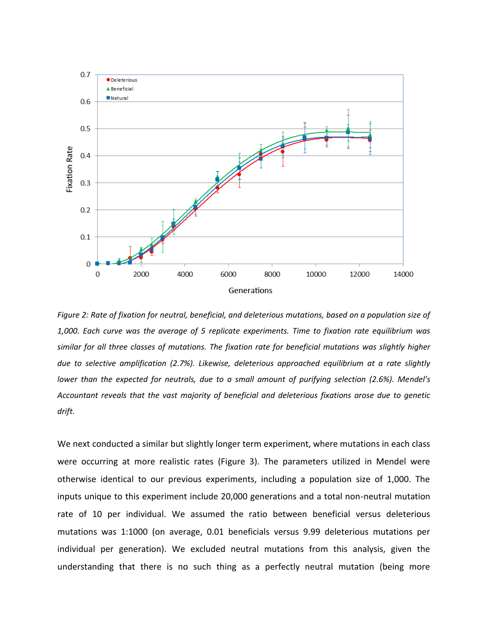

*Figure 2: Rate of fixation for neutral, beneficial, and deleterious mutations, based on a population size of 1,000. Each curve was the average of 5 replicate experiments. Time to fixation rate equilibrium was similar for all three classes of mutations. The fixation rate for beneficial mutations was slightly higher due to selective amplification (2.7%). Likewise, deleterious approached equilibrium at a rate slightly lower than the expected for neutrals, due to a small amount of purifying selection (2.6%). Mendel's Accountant reveals that the vast majority of beneficial and deleterious fixations arose due to genetic drift.* 

We next conducted a similar but slightly longer term experiment, where mutations in each class were occurring at more realistic rates (Figure 3). The parameters utilized in Mendel were otherwise identical to our previous experiments, including a population size of 1,000. The inputs unique to this experiment include 20,000 generations and a total non-neutral mutation rate of 10 per individual. We assumed the ratio between beneficial versus deleterious mutations was 1:1000 (on average, 0.01 beneficials versus 9.99 deleterious mutations per individual per generation). We excluded neutral mutations from this analysis, given the understanding that there is no such thing as a perfectly neutral mutation (being more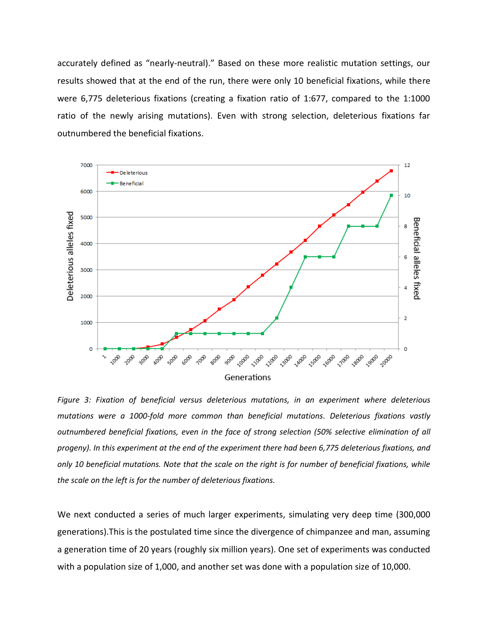accurately defined as "nearly-neutral)." Based on these more realistic mutation settings, our results showed that at the end of the run, there were only 10 beneficial fixations, while there were 6,775 deleterious fixations (creating a fixation ratio of 1:677, compared to the 1:1000 ratio of the newly arising mutations). Even with strong selection, deleterious fixations far outnumbered the beneficial fixations.



*Figure 3: Fixation of beneficial versus deleterious mutations, in an experiment where deleterious mutations were a 1000-fold more common than beneficial mutations. Deleterious fixations vastly outnumbered beneficial fixations, even in the face of strong selection (50% selective elimination of all progeny). In this experiment at the end of the experiment there had been 6,775 deleterious fixations, and only 10 beneficial mutations. Note that the scale on the right is for number of beneficial fixations, while the scale on the left is for the number of deleterious fixations.*

We next conducted a series of much larger experiments, simulating very deep time (300,000 generations).This is the postulated time since the divergence of chimpanzee and man, assuming a generation time of 20 years (roughly six million years). One set of experiments was conducted with a population size of 1,000, and another set was done with a population size of 10,000.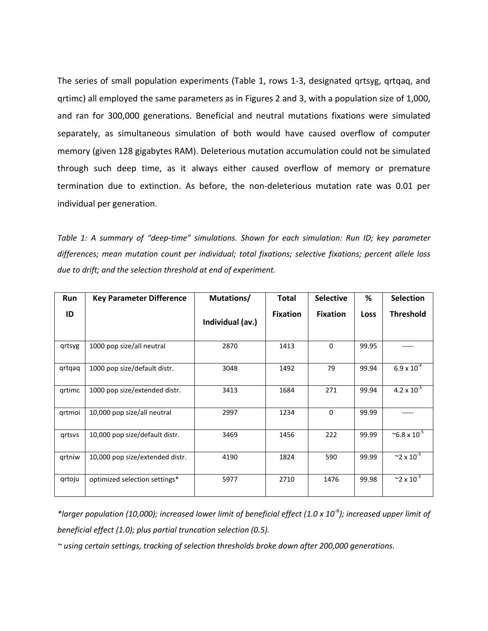The series of small population experiments (Table 1, rows 1-3, designated qrtsyg, qrtqaq, and qrtimc) all employed the same parameters as in Figures 2 and 3, with a population size of 1,000, and ran for 300,000 generations. Beneficial and neutral mutations fixations were simulated separately, as simultaneous simulation of both would have caused overflow of computer memory (given 128 gigabytes RAM). Deleterious mutation accumulation could not be simulated through such deep time, as it always either caused overflow of memory or premature termination due to extinction. As before, the non-deleterious mutation rate was 0.01 per individual per generation.

*Table 1: A summary of "deep-time" simulations. Shown for each simulation: Run ID; key parameter differences; mean mutation count per individual; total fixations; selective fixations; percent allele loss due to drift; and the selection threshold at end of experiment.*

| Run    | <b>Key Parameter Difference</b> | Mutations/       | <b>Total</b>    | <b>Selective</b> | %     | <b>Selection</b>                 |
|--------|---------------------------------|------------------|-----------------|------------------|-------|----------------------------------|
| ID     |                                 | Individual (av.) | <b>Fixation</b> | <b>Fixation</b>  | Loss  | <b>Threshold</b>                 |
| qrtsyg | 1000 pop size/all neutral       | 2870             | 1413            | $\Omega$         | 99.95 |                                  |
| qrtqaq | 1000 pop size/default distr.    | 3048             | 1492            | 79               | 99.94 | $6.9 \times 10^{-4}$             |
| grtimc | 1000 pop size/extended distr.   | 3413             | 1684            | 271              | 99.94 | $4.2 \times 10^{-3}$             |
| grtmoi | 10,000 pop size/all neutral     | 2997             | 1234            | $\Omega$         | 99.99 |                                  |
| grtsvs | 10,000 pop size/default distr.  | 3469             | 1456            | 222              | 99.99 | $^{\sim}$ 6.8 x 10 <sup>-5</sup> |
| grtniw | 10,000 pop size/extended distr. | 4190             | 1824            | 590              | 99.99 | $~2 \times 10^{-3}$              |
| grtoju | optimized selection settings*   | 5977             | 2710            | 1476             | 99.98 | $~2 \times 10^{-3}$              |

*\*larger population (10,000); increased lower limit of beneficial effect (1.0 x 10-6 ); increased upper limit of beneficial effect (1.0); plus partial truncation selection (0.5).* 

*~ using certain settings, tracking of selection thresholds broke down after 200,000 generations.*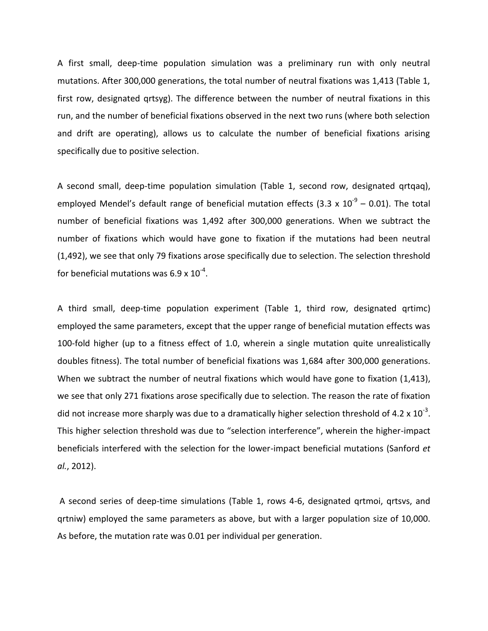A first small, deep-time population simulation was a preliminary run with only neutral mutations. After 300,000 generations, the total number of neutral fixations was 1,413 (Table 1, first row, designated qrtsyg). The difference between the number of neutral fixations in this run, and the number of beneficial fixations observed in the next two runs (where both selection and drift are operating), allows us to calculate the number of beneficial fixations arising specifically due to positive selection.

A second small, deep-time population simulation (Table 1, second row, designated qrtqaq), employed Mendel's default range of beneficial mutation effects (3.3 x  $10^{-9}$  – 0.01). The total number of beneficial fixations was 1,492 after 300,000 generations. When we subtract the number of fixations which would have gone to fixation if the mutations had been neutral (1,492), we see that only 79 fixations arose specifically due to selection. The selection threshold for beneficial mutations was 6.9 x  $10^{-4}$ .

A third small, deep-time population experiment (Table 1, third row, designated qrtimc) employed the same parameters, except that the upper range of beneficial mutation effects was 100-fold higher (up to a fitness effect of 1.0, wherein a single mutation quite unrealistically doubles fitness). The total number of beneficial fixations was 1,684 after 300,000 generations. When we subtract the number of neutral fixations which would have gone to fixation (1,413), we see that only 271 fixations arose specifically due to selection. The reason the rate of fixation did not increase more sharply was due to a dramatically higher selection threshold of 4.2 x  $10^{-3}$ . This higher selection threshold was due to "selection interference", wherein the higher-impact beneficials interfered with the selection for the lower-impact beneficial mutations (Sanford *et al.*, 2012).

A second series of deep-time simulations (Table 1, rows 4-6, designated qrtmoi, qrtsvs, and qrtniw) employed the same parameters as above, but with a larger population size of 10,000. As before, the mutation rate was 0.01 per individual per generation.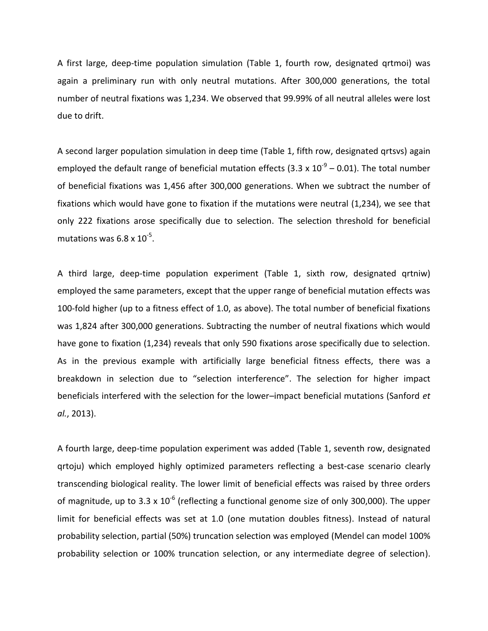A first large, deep-time population simulation (Table 1, fourth row, designated qrtmoi) was again a preliminary run with only neutral mutations. After 300,000 generations, the total number of neutral fixations was 1,234. We observed that 99.99% of all neutral alleles were lost due to drift.

A second larger population simulation in deep time (Table 1, fifth row, designated qrtsvs) again employed the default range of beneficial mutation effects (3.3 x  $10^{-9}$  – 0.01). The total number of beneficial fixations was 1,456 after 300,000 generations. When we subtract the number of fixations which would have gone to fixation if the mutations were neutral (1,234), we see that only 222 fixations arose specifically due to selection. The selection threshold for beneficial mutations was  $6.8 \times 10^{-5}$ .

A third large, deep-time population experiment (Table 1, sixth row, designated qrtniw) employed the same parameters, except that the upper range of beneficial mutation effects was 100-fold higher (up to a fitness effect of 1.0, as above). The total number of beneficial fixations was 1,824 after 300,000 generations. Subtracting the number of neutral fixations which would have gone to fixation (1,234) reveals that only 590 fixations arose specifically due to selection. As in the previous example with artificially large beneficial fitness effects, there was a breakdown in selection due to "selection interference". The selection for higher impact beneficials interfered with the selection for the lower–impact beneficial mutations (Sanford *et al.*, 2013).

A fourth large, deep-time population experiment was added (Table 1, seventh row, designated qrtoju) which employed highly optimized parameters reflecting a best-case scenario clearly transcending biological reality. The lower limit of beneficial effects was raised by three orders of magnitude, up to 3.3 x  $10^{-6}$  (reflecting a functional genome size of only 300,000). The upper limit for beneficial effects was set at 1.0 (one mutation doubles fitness). Instead of natural probability selection, partial (50%) truncation selection was employed (Mendel can model 100% probability selection or 100% truncation selection, or any intermediate degree of selection).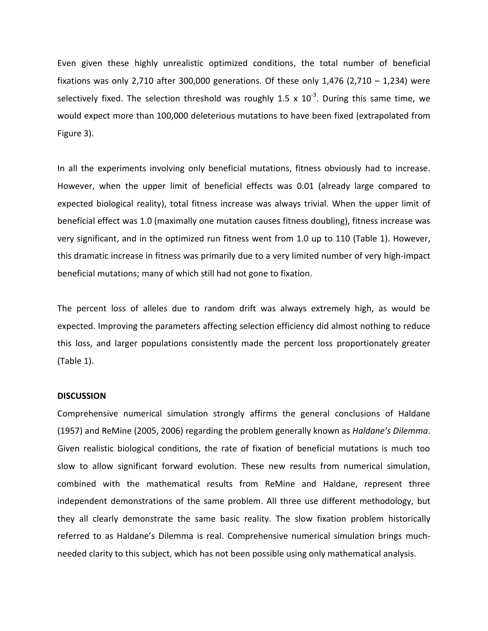Even given these highly unrealistic optimized conditions, the total number of beneficial fixations was only 2,710 after 300,000 generations. Of these only 1,476 (2,710  $-$  1,234) were selectively fixed. The selection threshold was roughly 1.5 x  $10^{-3}$ . During this same time, we would expect more than 100,000 deleterious mutations to have been fixed (extrapolated from Figure 3).

In all the experiments involving only beneficial mutations, fitness obviously had to increase. However, when the upper limit of beneficial effects was 0.01 (already large compared to expected biological reality), total fitness increase was always trivial. When the upper limit of beneficial effect was 1.0 (maximally one mutation causes fitness doubling), fitness increase was very significant, and in the optimized run fitness went from 1.0 up to 110 (Table 1). However, this dramatic increase in fitness was primarily due to a very limited number of very high-impact beneficial mutations; many of which still had not gone to fixation.

The percent loss of alleles due to random drift was always extremely high, as would be expected. Improving the parameters affecting selection efficiency did almost nothing to reduce this loss, and larger populations consistently made the percent loss proportionately greater (Table 1).

## **DISCUSSION**

Comprehensive numerical simulation strongly affirms the general conclusions of Haldane (1957) and ReMine (2005, 2006) regarding the problem generally known as *Haldane's Dilemma*. Given realistic biological conditions, the rate of fixation of beneficial mutations is much too slow to allow significant forward evolution. These new results from numerical simulation, combined with the mathematical results from ReMine and Haldane, represent three independent demonstrations of the same problem. All three use different methodology, but they all clearly demonstrate the same basic reality. The slow fixation problem historically referred to as Haldane's Dilemma is real. Comprehensive numerical simulation brings muchneeded clarity to this subject, which has not been possible using only mathematical analysis.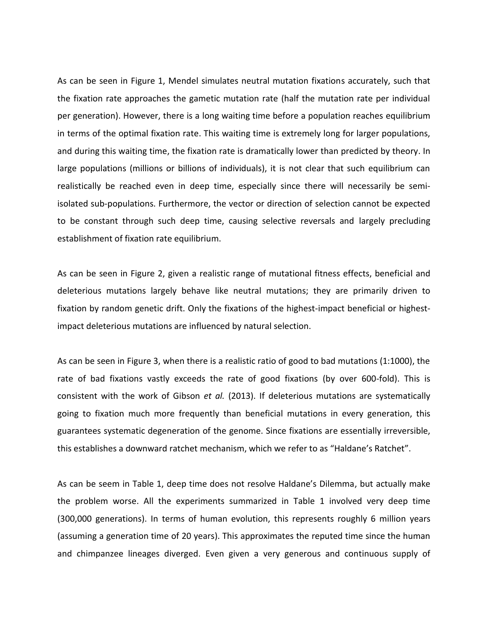As can be seen in Figure 1, Mendel simulates neutral mutation fixations accurately, such that the fixation rate approaches the gametic mutation rate (half the mutation rate per individual per generation). However, there is a long waiting time before a population reaches equilibrium in terms of the optimal fixation rate. This waiting time is extremely long for larger populations, and during this waiting time, the fixation rate is dramatically lower than predicted by theory. In large populations (millions or billions of individuals), it is not clear that such equilibrium can realistically be reached even in deep time, especially since there will necessarily be semiisolated sub-populations. Furthermore, the vector or direction of selection cannot be expected to be constant through such deep time, causing selective reversals and largely precluding establishment of fixation rate equilibrium.

As can be seen in Figure 2, given a realistic range of mutational fitness effects, beneficial and deleterious mutations largely behave like neutral mutations; they are primarily driven to fixation by random genetic drift. Only the fixations of the highest-impact beneficial or highestimpact deleterious mutations are influenced by natural selection.

As can be seen in Figure 3, when there is a realistic ratio of good to bad mutations (1:1000), the rate of bad fixations vastly exceeds the rate of good fixations (by over 600-fold). This is consistent with the work of Gibson *et al.* (2013). If deleterious mutations are systematically going to fixation much more frequently than beneficial mutations in every generation, this guarantees systematic degeneration of the genome. Since fixations are essentially irreversible, this establishes a downward ratchet mechanism, which we refer to as "Haldane's Ratchet".

As can be seem in Table 1, deep time does not resolve Haldane's Dilemma, but actually make the problem worse. All the experiments summarized in Table 1 involved very deep time (300,000 generations). In terms of human evolution, this represents roughly 6 million years (assuming a generation time of 20 years). This approximates the reputed time since the human and chimpanzee lineages diverged. Even given a very generous and continuous supply of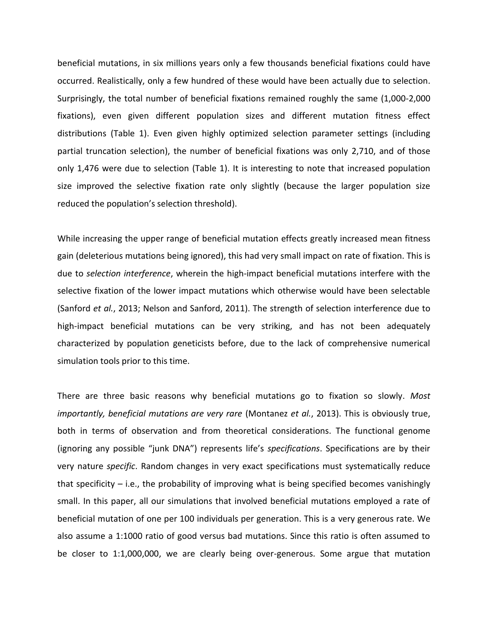beneficial mutations, in six millions years only a few thousands beneficial fixations could have occurred. Realistically, only a few hundred of these would have been actually due to selection. Surprisingly, the total number of beneficial fixations remained roughly the same (1,000-2,000 fixations), even given different population sizes and different mutation fitness effect distributions (Table 1). Even given highly optimized selection parameter settings (including partial truncation selection), the number of beneficial fixations was only 2,710, and of those only 1,476 were due to selection (Table 1). It is interesting to note that increased population size improved the selective fixation rate only slightly (because the larger population size reduced the population's selection threshold).

While increasing the upper range of beneficial mutation effects greatly increased mean fitness gain (deleterious mutations being ignored), this had very small impact on rate of fixation. This is due to *selection interference*, wherein the high-impact beneficial mutations interfere with the selective fixation of the lower impact mutations which otherwise would have been selectable (Sanford *et al.*, 2013; Nelson and Sanford, 2011). The strength of selection interference due to high-impact beneficial mutations can be very striking, and has not been adequately characterized by population geneticists before, due to the lack of comprehensive numerical simulation tools prior to this time.

There are three basic reasons why beneficial mutations go to fixation so slowly. *Most importantly, beneficial mutations are very rare* (Montanez *et al.*, 2013). This is obviously true, both in terms of observation and from theoretical considerations. The functional genome (ignoring any possible "junk DNA") represents life's *specifications*. Specifications are by their very nature *specific*. Random changes in very exact specifications must systematically reduce that specificity  $-$  i.e., the probability of improving what is being specified becomes vanishingly small. In this paper, all our simulations that involved beneficial mutations employed a rate of beneficial mutation of one per 100 individuals per generation. This is a very generous rate. We also assume a 1:1000 ratio of good versus bad mutations. Since this ratio is often assumed to be closer to 1:1,000,000, we are clearly being over-generous. Some argue that mutation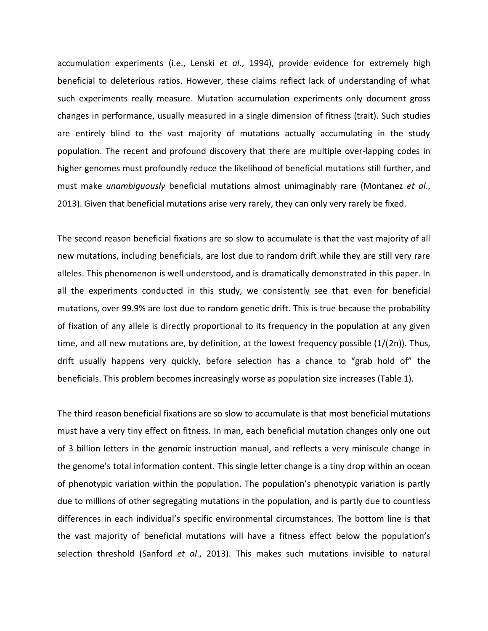accumulation experiments (i.e., Lenski *et al*., 1994), provide evidence for extremely high beneficial to deleterious ratios. However, these claims reflect lack of understanding of what such experiments really measure. Mutation accumulation experiments only document gross changes in performance, usually measured in a single dimension of fitness (trait). Such studies are entirely blind to the vast majority of mutations actually accumulating in the study population. The recent and profound discovery that there are multiple over-lapping codes in higher genomes must profoundly reduce the likelihood of beneficial mutations still further, and must make *unambiguously* beneficial mutations almost unimaginably rare (Montanez *et al*., 2013). Given that beneficial mutations arise very rarely, they can only very rarely be fixed.

The second reason beneficial fixations are so slow to accumulate is that the vast majority of all new mutations, including beneficials, are lost due to random drift while they are still very rare alleles. This phenomenon is well understood, and is dramatically demonstrated in this paper. In all the experiments conducted in this study, we consistently see that even for beneficial mutations, over 99.9% are lost due to random genetic drift. This is true because the probability of fixation of any allele is directly proportional to its frequency in the population at any given time, and all new mutations are, by definition, at the lowest frequency possible (1/(2n)). Thus, drift usually happens very quickly, before selection has a chance to "grab hold of" the beneficials. This problem becomes increasingly worse as population size increases (Table 1).

The third reason beneficial fixations are so slow to accumulate is that most beneficial mutations must have a very tiny effect on fitness. In man, each beneficial mutation changes only one out of 3 billion letters in the genomic instruction manual, and reflects a very miniscule change in the genome's total information content. This single letter change is a tiny drop within an ocean of phenotypic variation within the population. The population's phenotypic variation is partly due to millions of other segregating mutations in the population, and is partly due to countless differences in each individual's specific environmental circumstances. The bottom line is that the vast majority of beneficial mutations will have a fitness effect below the population's selection threshold (Sanford *et al*., 2013). This makes such mutations invisible to natural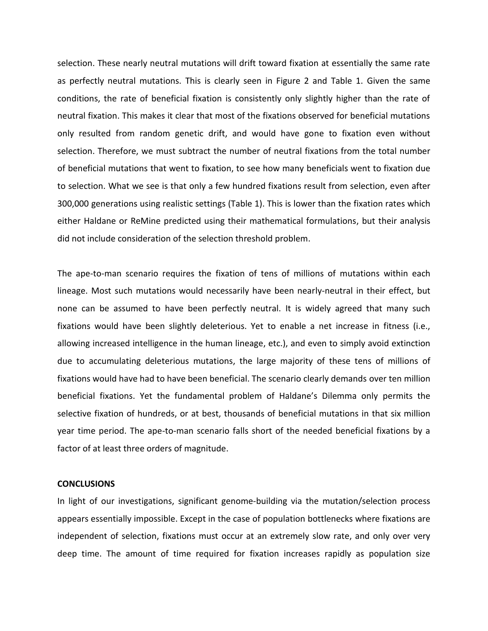selection. These nearly neutral mutations will drift toward fixation at essentially the same rate as perfectly neutral mutations. This is clearly seen in Figure 2 and Table 1. Given the same conditions, the rate of beneficial fixation is consistently only slightly higher than the rate of neutral fixation. This makes it clear that most of the fixations observed for beneficial mutations only resulted from random genetic drift, and would have gone to fixation even without selection. Therefore, we must subtract the number of neutral fixations from the total number of beneficial mutations that went to fixation, to see how many beneficials went to fixation due to selection. What we see is that only a few hundred fixations result from selection, even after 300,000 generations using realistic settings (Table 1). This is lower than the fixation rates which either Haldane or ReMine predicted using their mathematical formulations, but their analysis did not include consideration of the selection threshold problem.

The ape-to-man scenario requires the fixation of tens of millions of mutations within each lineage. Most such mutations would necessarily have been nearly-neutral in their effect, but none can be assumed to have been perfectly neutral. It is widely agreed that many such fixations would have been slightly deleterious. Yet to enable a net increase in fitness (i.e., allowing increased intelligence in the human lineage, etc.), and even to simply avoid extinction due to accumulating deleterious mutations, the large majority of these tens of millions of fixations would have had to have been beneficial. The scenario clearly demands over ten million beneficial fixations. Yet the fundamental problem of Haldane's Dilemma only permits the selective fixation of hundreds, or at best, thousands of beneficial mutations in that six million year time period. The ape-to-man scenario falls short of the needed beneficial fixations by a factor of at least three orders of magnitude.

### **CONCLUSIONS**

In light of our investigations, significant genome-building via the mutation/selection process appears essentially impossible. Except in the case of population bottlenecks where fixations are independent of selection, fixations must occur at an extremely slow rate, and only over very deep time. The amount of time required for fixation increases rapidly as population size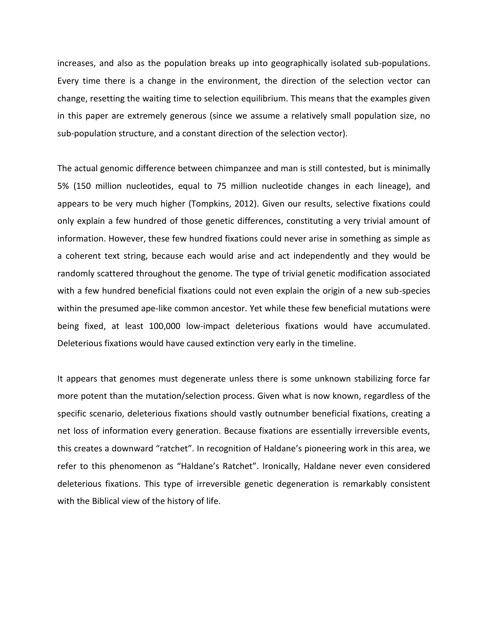increases, and also as the population breaks up into geographically isolated sub-populations. Every time there is a change in the environment, the direction of the selection vector can change, resetting the waiting time to selection equilibrium. This means that the examples given in this paper are extremely generous (since we assume a relatively small population size, no sub-population structure, and a constant direction of the selection vector).

The actual genomic difference between chimpanzee and man is still contested, but is minimally 5% (150 million nucleotides, equal to 75 million nucleotide changes in each lineage), and appears to be very much higher (Tompkins, 2012). Given our results, selective fixations could only explain a few hundred of those genetic differences, constituting a very trivial amount of information. However, these few hundred fixations could never arise in something as simple as a coherent text string, because each would arise and act independently and they would be randomly scattered throughout the genome. The type of trivial genetic modification associated with a few hundred beneficial fixations could not even explain the origin of a new sub-species within the presumed ape-like common ancestor. Yet while these few beneficial mutations were being fixed, at least 100,000 low-impact deleterious fixations would have accumulated. Deleterious fixations would have caused extinction very early in the timeline.

It appears that genomes must degenerate unless there is some unknown stabilizing force far more potent than the mutation/selection process. Given what is now known, regardless of the specific scenario, deleterious fixations should vastly outnumber beneficial fixations, creating a net loss of information every generation. Because fixations are essentially irreversible events, this creates a downward "ratchet". In recognition of Haldane's pioneering work in this area, we refer to this phenomenon as "Haldane's Ratchet". Ironically, Haldane never even considered deleterious fixations. This type of irreversible genetic degeneration is remarkably consistent with the Biblical view of the history of life.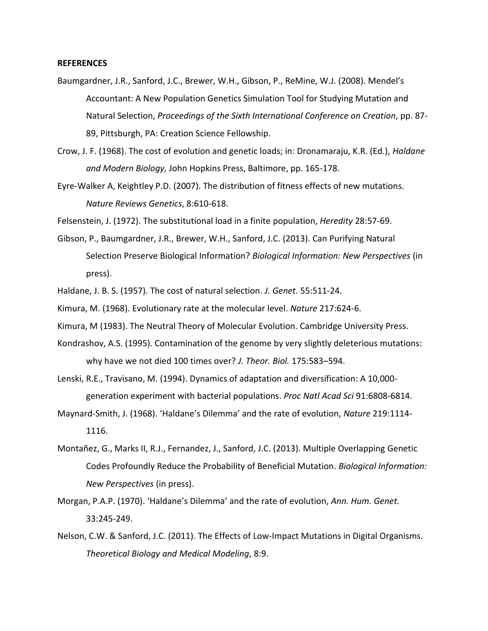## **REFERENCES**

- Baumgardner, J.R., Sanford, J.C., Brewer, W.H., Gibson, P., ReMine, W.J. (2008). Mendel's Accountant: A New Population Genetics Simulation Tool for Studying Mutation and Natural Selection, *Proceedings of the Sixth International Conference on Creation*, pp. 87- 89, Pittsburgh, PA: Creation Science Fellowship.
- Crow, J. F. (1968). The cost of evolution and genetic loads; in: Dronamaraju, K.R. (Ed.), *Haldane and Modern Biology,* John Hopkins Press, Baltimore, pp. 165-178.
- Eyre-Walker A, Keightley P.D. (2007). The distribution of fitness effects of new mutations. *Nature Reviews Genetics*, 8:610-618.

Felsenstein, J. (1972). The substitutional load in a finite population, *Heredity* 28:57-69.

- Gibson, P., Baumgardner, J.R., Brewer, W.H., Sanford, J.C. (2013). Can Purifying Natural Selection Preserve Biological Information? *Biological Information: New Perspectives* (in press).
- Haldane, J. B. S. (1957). The cost of natural selection. *J. Genet.* 55:511-24.

Kimura, M. (1968). Evolutionary rate at the molecular level. *Nature* 217:624-6.

- Kimura, M (1983). The Neutral Theory of Molecular Evolution. Cambridge University Press.
- Kondrashov, A.S. (1995). Contamination of the genome by very slightly deleterious mutations: why have we not died 100 times over? *J. Theor. Biol.* 175:583–594.
- Lenski, R.E., Travisano, M. (1994). Dynamics of adaptation and diversification: A 10,000 generation experiment with bacterial populations. *Proc Natl Acad Sci* 91:6808-6814.
- Maynard-Smith, J. (1968). 'Haldane's Dilemma' and the rate of evolution, *Nature* 219:1114- 1116.
- Montañez, G., Marks II, R.J., Fernandez, J., Sanford, J.C. (2013). Multiple Overlapping Genetic Codes Profoundly Reduce the Probability of Beneficial Mutation. *Biological Information: New Perspectives* (in press).
- Morgan, P.A.P. (1970). 'Haldane's Dilemma' and the rate of evolution, *Ann. Hum. Genet.* 33:245-249.
- Nelson, C.W. & Sanford, J.C. (2011). The Effects of Low-Impact Mutations in Digital Organisms. *Theoretical Biology and Medical Modeling*, 8:9.